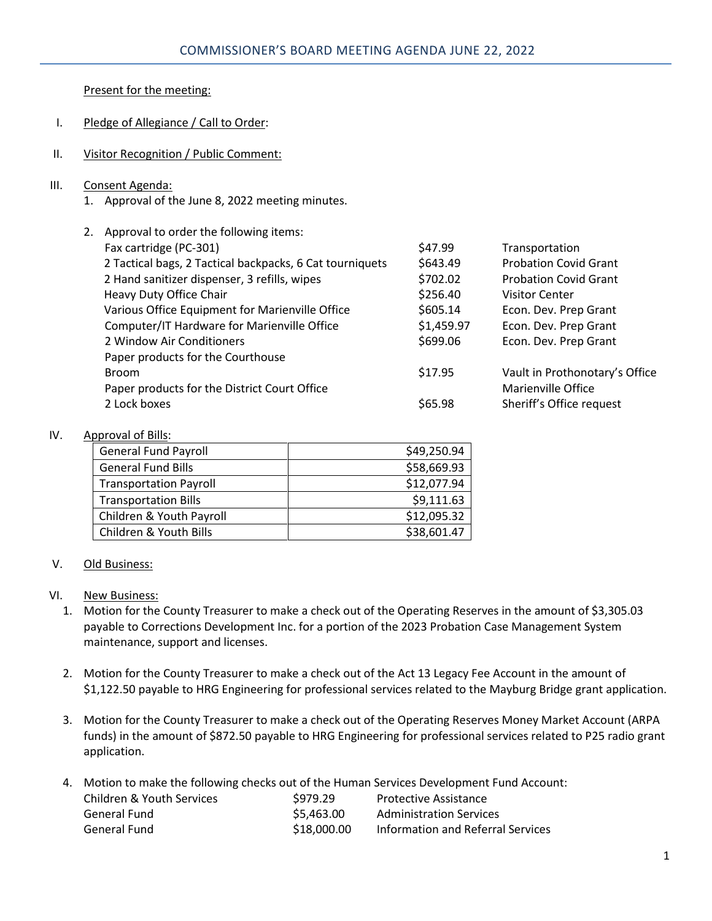Present for the meeting:

- I. Pledge of Allegiance / Call to Order:
- II. Visitor Recognition / Public Comment:
- III. Consent Agenda:
	- 1. Approval of the June 8, 2022 meeting minutes.

| 2. | Approval to order the following items:                   |            |                                |  |  |
|----|----------------------------------------------------------|------------|--------------------------------|--|--|
|    | Fax cartridge (PC-301)                                   | \$47.99    | Transportation                 |  |  |
|    | 2 Tactical bags, 2 Tactical backpacks, 6 Cat tourniquets | \$643.49   | <b>Probation Covid Grant</b>   |  |  |
|    | 2 Hand sanitizer dispenser, 3 refills, wipes             | \$702.02   | <b>Probation Covid Grant</b>   |  |  |
|    | Heavy Duty Office Chair                                  | \$256.40   | <b>Visitor Center</b>          |  |  |
|    | Various Office Equipment for Marienville Office          | \$605.14   | Econ. Dev. Prep Grant          |  |  |
|    | Computer/IT Hardware for Marienville Office              | \$1,459.97 | Econ. Dev. Prep Grant          |  |  |
|    | 2 Window Air Conditioners                                | \$699.06   | Econ. Dev. Prep Grant          |  |  |
|    | Paper products for the Courthouse                        |            |                                |  |  |
|    | <b>Broom</b>                                             | \$17.95    | Vault in Prothonotary's Office |  |  |
|    | Paper products for the District Court Office             |            | Marienville Office             |  |  |
|    | 2 Lock boxes                                             | \$65.98    | Sheriff's Office request       |  |  |

## IV. Approval of Bills:

| <b>General Fund Payroll</b>   | \$49,250.94 |
|-------------------------------|-------------|
| <b>General Fund Bills</b>     | \$58,669.93 |
| <b>Transportation Payroll</b> | \$12,077.94 |
| <b>Transportation Bills</b>   | \$9,111.63  |
| Children & Youth Payroll      | \$12,095.32 |
| Children & Youth Bills        | \$38,601.47 |

## V. Old Business:

## VI. New Business:

- 1. Motion for the County Treasurer to make a check out of the Operating Reserves in the amount of \$3,305.03 payable to Corrections Development Inc. for a portion of the 2023 Probation Case Management System maintenance, support and licenses.
- 2. Motion for the County Treasurer to make a check out of the Act 13 Legacy Fee Account in the amount of \$1,122.50 payable to HRG Engineering for professional services related to the Mayburg Bridge grant application.
- 3. Motion for the County Treasurer to make a check out of the Operating Reserves Money Market Account (ARPA funds) in the amount of \$872.50 payable to HRG Engineering for professional services related to P25 radio grant application.
- 4. Motion to make the following checks out of the Human Services Development Fund Account:

| Children & Youth Services | \$979.29    | <b>Protective Assistance</b>      |
|---------------------------|-------------|-----------------------------------|
| General Fund              | \$5.463.00  | <b>Administration Services</b>    |
| General Fund              | \$18,000.00 | Information and Referral Services |